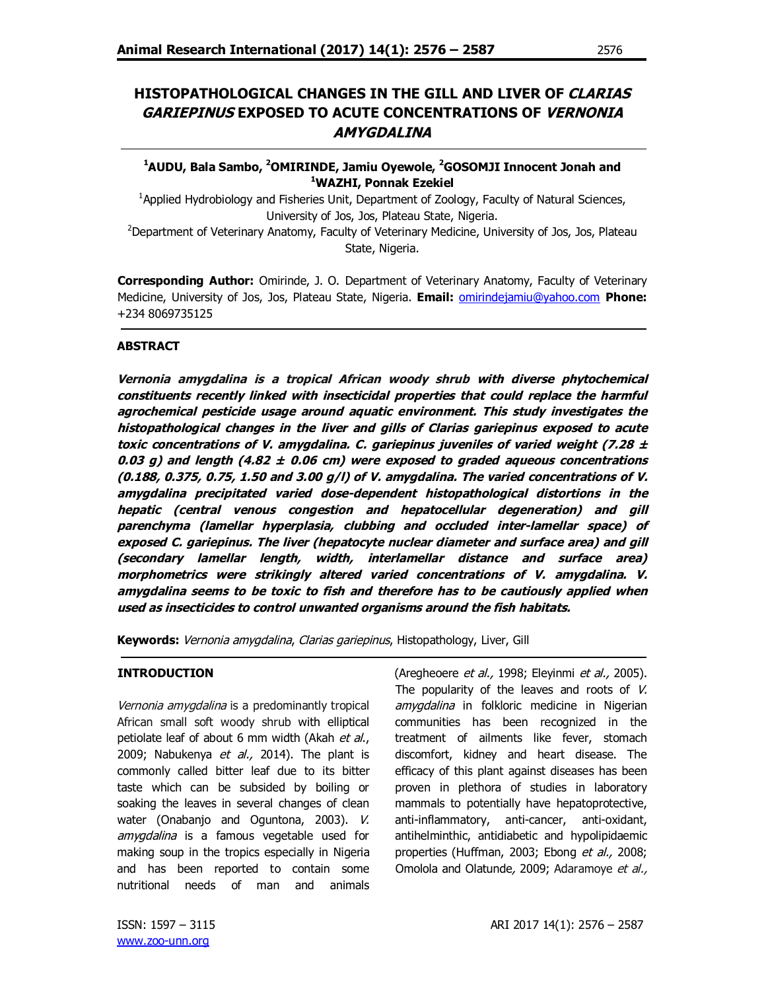# **HISTOPATHOLOGICAL CHANGES IN THE GILL AND LIVER OF CLARIAS GARIEPINUS EXPOSED TO ACUTE CONCENTRATIONS OF VERNONIA AMYGDALINA**

**<sup>1</sup>AUDU, Bala Sambo, <sup>2</sup>OMIRINDE, Jamiu Oyewole, <sup>2</sup>GOSOMJI Innocent Jonah and <sup>1</sup>WAZHI, Ponnak Ezekiel**

<sup>1</sup>Applied Hydrobiology and Fisheries Unit, Department of Zoology, Faculty of Natural Sciences, University of Jos, Jos, Plateau State, Nigeria.

<sup>2</sup>Department of Veterinary Anatomy, Faculty of Veterinary Medicine, University of Jos, Jos, Plateau State, Nigeria.

**Corresponding Author:** Omirinde, J. O. Department of Veterinary Anatomy, Faculty of Veterinary Medicine, University of Jos, Jos, Plateau State, Nigeria. **Email:** omirindejamiu@yahoo.com **Phone:**  +234 8069735125

### **ABSTRACT**

**Vernonia amygdalina is a tropical African woody shrub with diverse phytochemical constituents recently linked with insecticidal properties that could replace the harmful agrochemical pesticide usage around aquatic environment. This study investigates the histopathological changes in the liver and gills of Clarias gariepinus exposed to acute toxic concentrations of V. amygdalina. C. gariepinus juveniles of varied weight (7.28 ± 0.03 g) and length (4.82 ± 0.06 cm) were exposed to graded aqueous concentrations (0.188, 0.375, 0.75, 1.50 and 3.00 g/l) of V. amygdalina. The varied concentrations of V. amygdalina precipitated varied dose-dependent histopathological distortions in the hepatic (central venous congestion and hepatocellular degeneration) and gill parenchyma (lamellar hyperplasia, clubbing and occluded inter-lamellar space) of exposed C. gariepinus. The liver (hepatocyte nuclear diameter and surface area) and gill (secondary lamellar length, width, interlamellar distance and surface area) morphometrics were strikingly altered varied concentrations of V. amygdalina. V. amygdalina seems to be toxic to fish and therefore has to be cautiously applied when used as insecticides to control unwanted organisms around the fish habitats.**

**Keywords:** Vernonia amygdalina, Clarias gariepinus, Histopathology, Liver, Gill

### **INTRODUCTION**

Vernonia amygdalina is a predominantly tropical African small soft woody shrub with elliptical petiolate leaf of about 6 mm width (Akah et al., 2009; Nabukenya et al., 2014). The plant is commonly called bitter leaf due to its bitter taste which can be subsided by boiling or soaking the leaves in several changes of clean water (Onabanjo and Oguntona, 2003). V. amygdalina is a famous vegetable used for making soup in the tropics especially in Nigeria and has been reported to contain some nutritional needs of man and animals

(Aregheoere et al., 1998; Eleyinmi et al., 2005). The popularity of the leaves and roots of V. amygdalina in folkloric medicine in Nigerian communities has been recognized in the treatment of ailments like fever, stomach discomfort, kidney and heart disease. The efficacy of this plant against diseases has been proven in plethora of studies in laboratory mammals to potentially have hepatoprotective, anti-inflammatory, anti-cancer, anti-oxidant, antihelminthic, antidiabetic and hypolipidaemic properties (Huffman, 2003; Ebong et al., 2008; Omolola and Olatunde, 2009; Adaramoye et al.,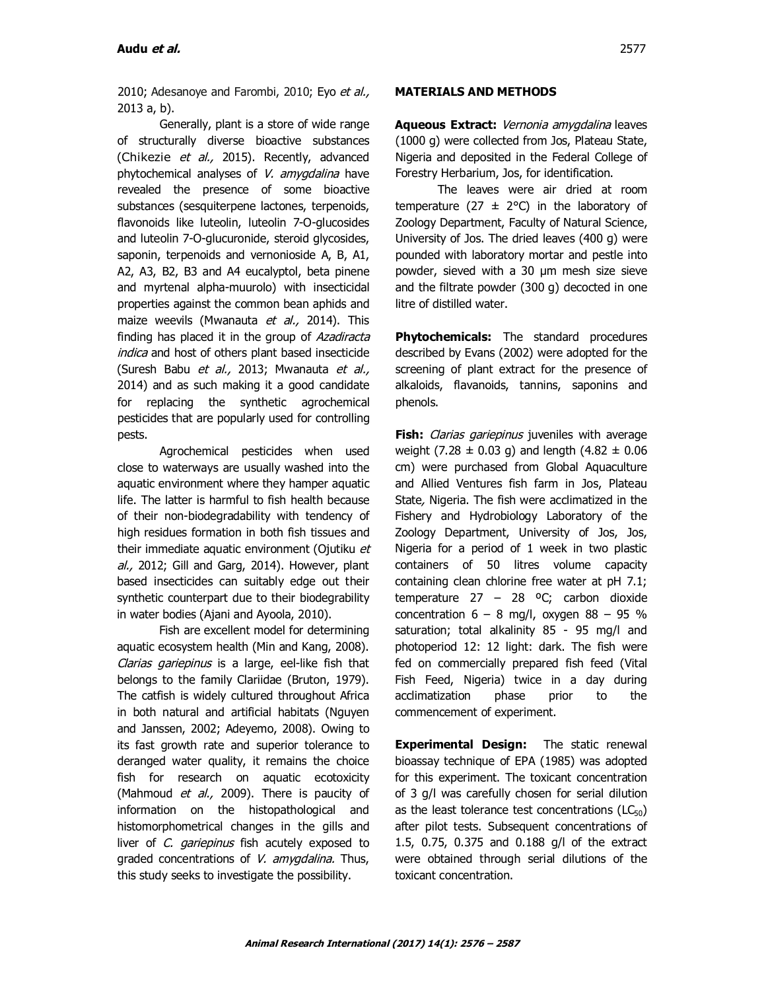2010; Adesanoye and Farombi, 2010; Eyo et al., 2013 a, b).

Generally, plant is a store of wide range of structurally diverse bioactive substances (Chikezie et al., 2015). Recently, advanced phytochemical analyses of V. amygdalina have revealed the presence of some bioactive substances (sesquiterpene lactones, terpenoids, flavonoids like luteolin, luteolin 7-O-glucosides and luteolin 7-O-glucuronide, steroid glycosides, saponin, terpenoids and vernonioside A, B, A1, A2, A3, B2, B3 and A4 eucalyptol, beta pinene and myrtenal alpha-muurolo) with insecticidal properties against the common bean aphids and maize weevils (Mwanauta et al., 2014). This finding has placed it in the group of Azadiracta indica and host of others plant based insecticide (Suresh Babu et al., 2013; Mwanauta et al., 2014) and as such making it a good candidate for replacing the synthetic agrochemical pesticides that are popularly used for controlling pests.

Agrochemical pesticides when used close to waterways are usually washed into the aquatic environment where they hamper aquatic life. The latter is harmful to fish health because of their non-biodegradability with tendency of high residues formation in both fish tissues and their immediate aquatic environment (Ojutiku et al., 2012; Gill and Garg, 2014). However, plant based insecticides can suitably edge out their synthetic counterpart due to their biodegrability in water bodies (Ajani and Ayoola, 2010).

Fish are excellent model for determining aquatic ecosystem health (Min and Kang, 2008). Clarias gariepinus is a large, eel-like fish that belongs to the family Clariidae (Bruton, 1979). The catfish is widely cultured throughout Africa in both natural and artificial habitats (Nguyen and Janssen, 2002; Adeyemo, 2008). Owing to its fast growth rate and superior tolerance to deranged water quality, it remains the choice fish for research on aquatic ecotoxicity (Mahmoud et al., 2009). There is paucity of information on the histopathological and histomorphometrical changes in the gills and liver of C. gariepinus fish acutely exposed to graded concentrations of V. amygdalina. Thus, this study seeks to investigate the possibility.

#### **MATERIALS AND METHODS**

**Aqueous Extract:** Vernonia amygdalina leaves (1000 g) were collected from Jos, Plateau State, Nigeria and deposited in the Federal College of Forestry Herbarium, Jos, for identification.

The leaves were air dried at room temperature (27  $\pm$  2°C) in the laboratory of Zoology Department, Faculty of Natural Science, University of Jos. The dried leaves (400 g) were pounded with laboratory mortar and pestle into powder, sieved with a 30 µm mesh size sieve and the filtrate powder (300 g) decocted in one litre of distilled water.

**Phytochemicals:** The standard procedures described by Evans (2002) were adopted for the screening of plant extract for the presence of alkaloids, flavanoids, tannins, saponins and phenols.

**Fish:** *Clarias gariepinus* juveniles with average weight (7.28  $\pm$  0.03 g) and length (4.82  $\pm$  0.06 cm) were purchased from Global Aquaculture and Allied Ventures fish farm in Jos, Plateau State, Nigeria. The fish were acclimatized in the Fishery and Hydrobiology Laboratory of the Zoology Department, University of Jos, Jos, Nigeria for a period of 1 week in two plastic containers of 50 litres volume capacity containing clean chlorine free water at pH 7.1; temperature  $27 - 28$  °C; carbon dioxide concentration  $6 - 8$  mg/l, oxygen  $88 - 95$  % saturation; total alkalinity 85 - 95 mg/l and photoperiod 12: 12 light: dark. The fish were fed on commercially prepared fish feed (Vital Fish Feed, Nigeria) twice in a day during acclimatization phase prior to the commencement of experiment.

**Experimental Design:** The static renewal bioassay technique of EPA (1985) was adopted for this experiment. The toxicant concentration of 3 g/l was carefully chosen for serial dilution as the least tolerance test concentrations  $(LC_{50})$ after pilot tests. Subsequent concentrations of 1.5, 0.75, 0.375 and 0.188 g/l of the extract were obtained through serial dilutions of the toxicant concentration.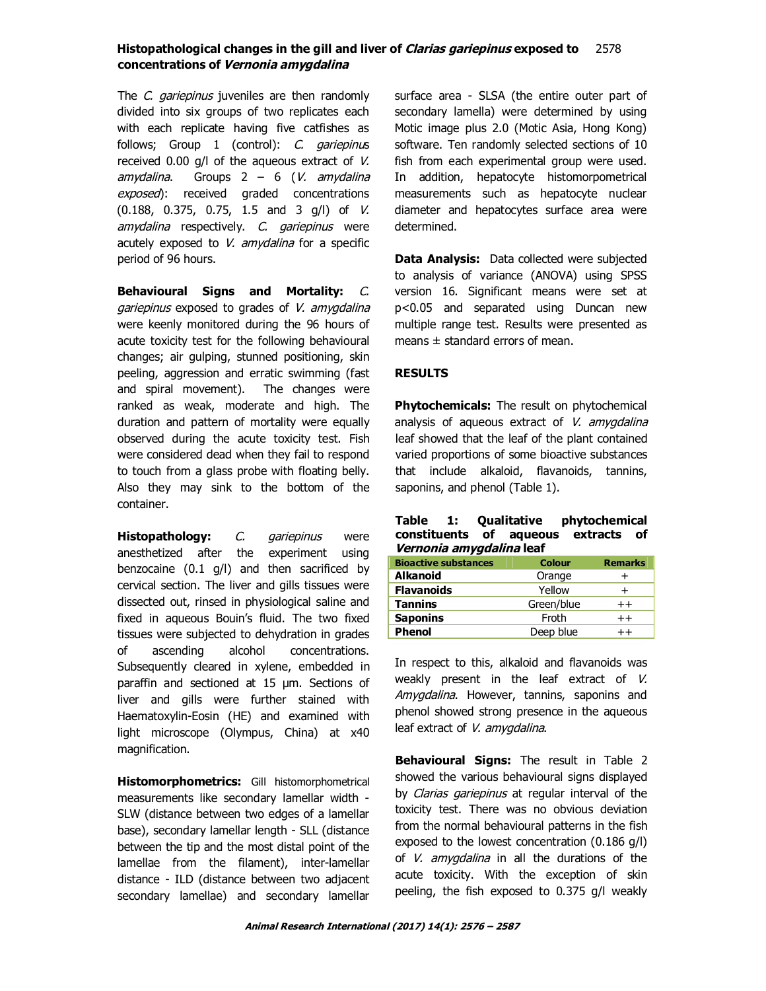The C. gariepinus juveniles are then randomly divided into six groups of two replicates each with each replicate having five catfishes as follows; Group 1 (control): C. gariepinus received 0.00 g/l of the aqueous extract of V.  $amyddina$ . Groups  $2 - 6$  (*V. amydalina* exposed): received graded concentrations (0.188, 0.375, 0.75, 1.5 and 3 g/l) of V. amydalina respectively. C. gariepinus were acutely exposed to  $V$ . amydalina for a specific period of 96 hours.

**Behavioural Signs and Mortality:** C. gariepinus exposed to grades of V. amygdalina were keenly monitored during the 96 hours of acute toxicity test for the following behavioural changes; air gulping, stunned positioning, skin peeling, aggression and erratic swimming (fast and spiral movement). The changes were ranked as weak, moderate and high. The duration and pattern of mortality were equally observed during the acute toxicity test. Fish were considered dead when they fail to respond to touch from a glass probe with floating belly. Also they may sink to the bottom of the container.

**Histopathology:** *C. gariepinus* were anesthetized after the experiment using benzocaine (0.1 g/l) and then sacrificed by cervical section. The liver and gills tissues were dissected out, rinsed in physiological saline and fixed in aqueous Bouin's fluid. The two fixed tissues were subjected to dehydration in grades of ascending alcohol concentrations. Subsequently cleared in xylene, embedded in paraffin and sectioned at 15 um. Sections of liver and gills were further stained with Haematoxylin-Eosin (HE) and examined with light microscope (Olympus, China) at x40 magnification.

**Histomorphometrics:** Gill histomorphometrical measurements like secondary lamellar width - SLW (distance between two edges of a lamellar base), secondary lamellar length - SLL (distance between the tip and the most distal point of the lamellae from the filament), inter-lamellar distance - ILD (distance between two adjacent secondary lamellae) and secondary lamellar surface area - SLSA (the entire outer part of secondary lamella) were determined by using Motic image plus 2.0 (Motic Asia, Hong Kong) software. Ten randomly selected sections of 10 fish from each experimental group were used. In addition, hepatocyte histomorpometrical measurements such as hepatocyte nuclear diameter and hepatocytes surface area were determined.

**Data Analysis:** Data collected were subjected to analysis of variance (ANOVA) using SPSS version 16. Significant means were set at p<0.05 and separated using Duncan new multiple range test. Results were presented as means  $\pm$  standard errors of mean.

### **RESULTS**

**Phytochemicals:** The result on phytochemical analysis of aqueous extract of  $V$ . amygdalina leaf showed that the leaf of the plant contained varied proportions of some bioactive substances that include alkaloid, flavanoids, tannins, saponins, and phenol (Table 1).

#### **Table 1: Qualitative phytochemical constituents of aqueous extracts of Vernonia amygdalina leaf**

| <b>Bioactive substances</b> | <b>Colour</b> | <b>Remarks</b> |  |
|-----------------------------|---------------|----------------|--|
| <b>Alkanoid</b>             | Orange        |                |  |
| <b>Flavanoids</b>           | Yellow        | +              |  |
| <b>Tannins</b>              | Green/blue    | $++$           |  |
| <b>Saponins</b>             | Froth         | $^{++}$        |  |
| <b>Phenol</b>               | Deep blue     |                |  |

In respect to this, alkaloid and flavanoids was weakly present in the leaf extract of V. Amygdalina. However, tannins, saponins and phenol showed strong presence in the aqueous leaf extract of V. amygdalina.

**Behavioural Signs:** The result in Table 2 showed the various behavioural signs displayed by Clarias gariepinus at regular interval of the toxicity test. There was no obvious deviation from the normal behavioural patterns in the fish exposed to the lowest concentration (0.186 g/l) of V. amygdalina in all the durations of the acute toxicity. With the exception of skin peeling, the fish exposed to 0.375 g/l weakly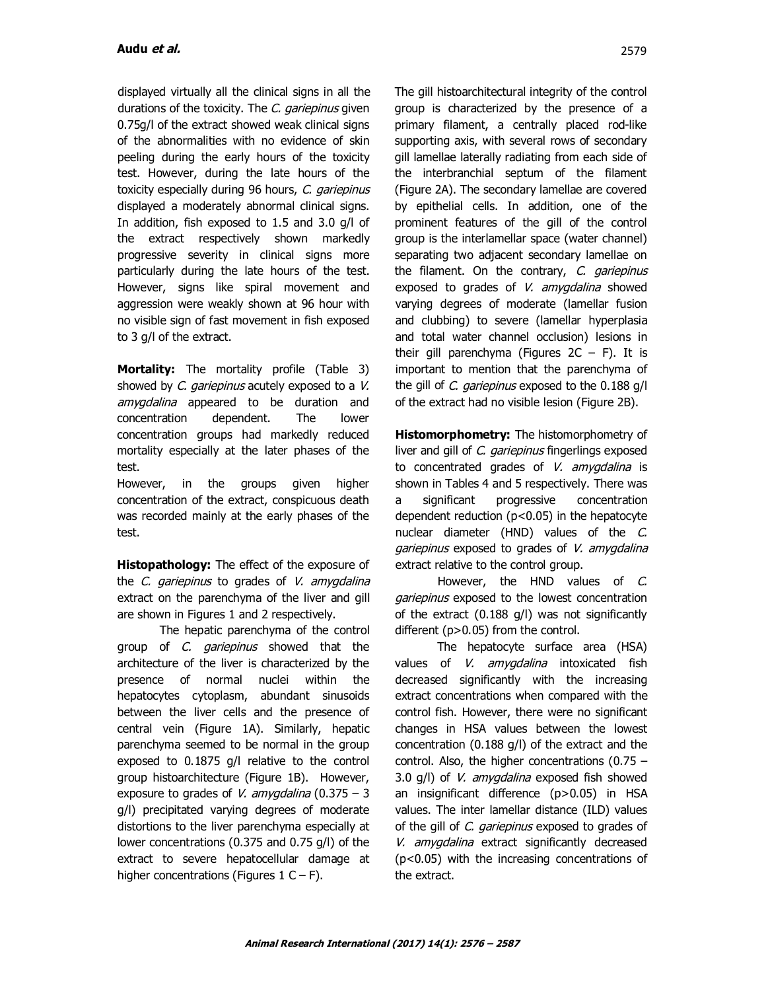displayed virtually all the clinical signs in all the durations of the toxicity. The C. gariepinus given 0.75g/l of the extract showed weak clinical signs of the abnormalities with no evidence of skin peeling during the early hours of the toxicity test. However, during the late hours of the toxicity especially during 96 hours, C. gariepinus displayed a moderately abnormal clinical signs. In addition, fish exposed to 1.5 and 3.0 g/l of the extract respectively shown markedly progressive severity in clinical signs more particularly during the late hours of the test. However, signs like spiral movement and aggression were weakly shown at 96 hour with no visible sign of fast movement in fish exposed to 3 g/l of the extract.

**Mortality:** The mortality profile (Table 3) showed by C. gariepinus acutely exposed to a V. amygdalina appeared to be duration and concentration dependent. The lower concentration groups had markedly reduced mortality especially at the later phases of the test.

However, in the groups given higher concentration of the extract, conspicuous death was recorded mainly at the early phases of the test.

**Histopathology:** The effect of the exposure of the *C. gariepinus* to grades of *V. amygdalina* extract on the parenchyma of the liver and gill are shown in Figures 1 and 2 respectively.

The hepatic parenchyma of the control group of C. *gariepinus* showed that the architecture of the liver is characterized by the presence of normal nuclei within the hepatocytes cytoplasm, abundant sinusoids between the liver cells and the presence of central vein (Figure 1A). Similarly, hepatic parenchyma seemed to be normal in the group exposed to 0.1875 g/l relative to the control group histoarchitecture (Figure 1B). However, exposure to grades of V. amygdalina (0.375 – 3) g/l) precipitated varying degrees of moderate distortions to the liver parenchyma especially at lower concentrations (0.375 and 0.75 g/l) of the extract to severe hepatocellular damage at higher concentrations (Figures  $1 C - F$ ).

The gill histoarchitectural integrity of the control group is characterized by the presence of a primary filament, a centrally placed rod-like supporting axis, with several rows of secondary gill lamellae laterally radiating from each side of the interbranchial septum of the filament (Figure 2A). The secondary lamellae are covered by epithelial cells. In addition, one of the prominent features of the gill of the control group is the interlamellar space (water channel) separating two adjacent secondary lamellae on the filament. On the contrary, C. gariepinus exposed to grades of V. amygdalina showed varying degrees of moderate (lamellar fusion and clubbing) to severe (lamellar hyperplasia and total water channel occlusion) lesions in their gill parenchyma (Figures  $2C - F$ ). It is important to mention that the parenchyma of the gill of C. gariepinus exposed to the 0.188 g/l of the extract had no visible lesion (Figure 2B).

**Histomorphometry:** The histomorphometry of liver and gill of C. *gariepinus* fingerlings exposed to concentrated grades of V. amygdalina is shown in Tables 4 and 5 respectively. There was a significant progressive concentration dependent reduction (p<0.05) in the hepatocyte nuclear diameter (HND) values of the C. gariepinus exposed to grades of V. amygdalina extract relative to the control group.

However, the HND values of C. gariepinus exposed to the lowest concentration of the extract (0.188 g/l) was not significantly different (p>0.05) from the control.

The hepatocyte surface area (HSA) values of *V. amygdalina* intoxicated fish decreased significantly with the increasing extract concentrations when compared with the control fish. However, there were no significant changes in HSA values between the lowest concentration (0.188 g/l) of the extract and the control. Also, the higher concentrations (0.75 – 3.0 g/l) of V. amygdalina exposed fish showed an insignificant difference (p>0.05) in HSA values. The inter lamellar distance (ILD) values of the gill of C. gariepinus exposed to grades of V. amygdalina extract significantly decreased (p<0.05) with the increasing concentrations of the extract.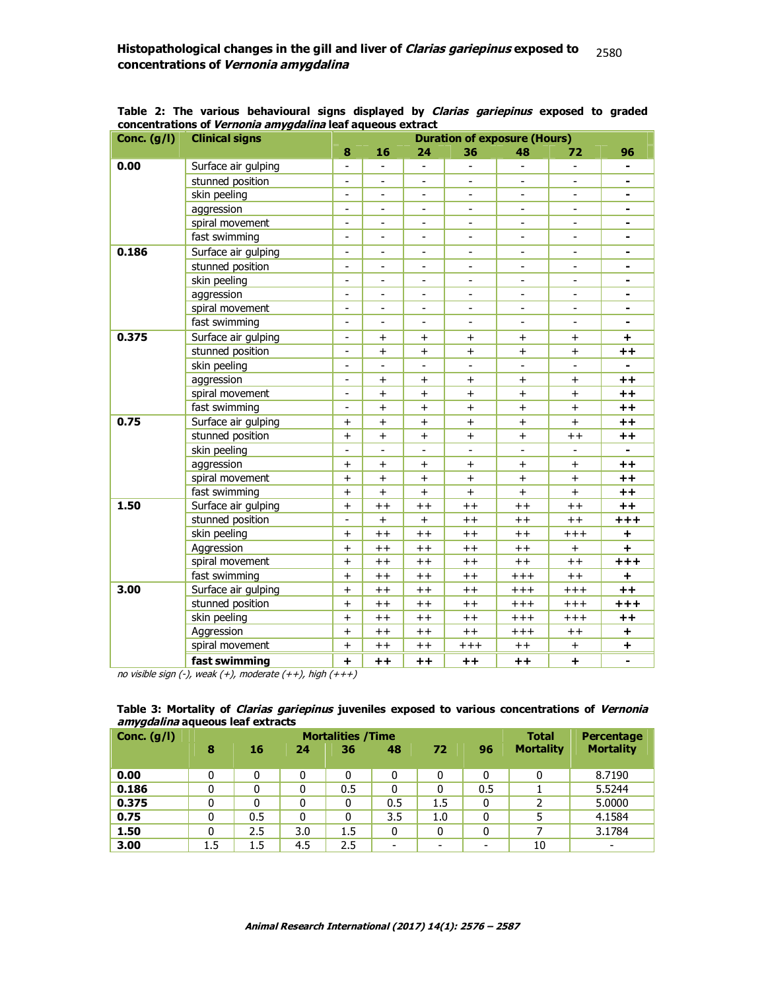| Conc. $(g/I)$ | <b>Clinical signs</b> | <b>Duration of exposure (Hours)</b> |                 |                          |                |                          |                |                |
|---------------|-----------------------|-------------------------------------|-----------------|--------------------------|----------------|--------------------------|----------------|----------------|
|               |                       | 8                                   | 16              | 24                       | 36             | 48                       | 72             | 96             |
| 0.00          | Surface air gulping   |                                     |                 |                          |                |                          |                |                |
|               | stunned position      | $\overline{a}$                      |                 |                          |                |                          |                | $\blacksquare$ |
|               | skin peeling          |                                     |                 |                          |                |                          |                |                |
|               | aggression            | $\overline{\phantom{a}}$            |                 | $\qquad \qquad -$        |                |                          |                |                |
|               | spiral movement       | $\overline{a}$                      |                 |                          |                |                          |                |                |
|               | fast swimming         | $\overline{a}$                      | $\overline{a}$  | $\overline{a}$           |                |                          |                |                |
| 0.186         | Surface air gulping   | $\overline{a}$                      |                 | $\overline{\phantom{0}}$ |                |                          |                |                |
|               | stunned position      | $\overline{a}$                      |                 | $\qquad \qquad -$        |                |                          |                |                |
|               | skin peeling          | $\overline{a}$                      |                 |                          |                |                          |                |                |
|               | aggression            | $\overline{a}$                      |                 |                          |                |                          |                |                |
|               | spiral movement       | $\overline{a}$                      | $\overline{a}$  | $\overline{a}$           | $\overline{a}$ | $\overline{a}$           |                |                |
|               | fast swimming         | $\overline{a}$                      | $\overline{a}$  | $\overline{\phantom{0}}$ | $\overline{a}$ |                          |                |                |
| 0.375         | Surface air gulping   | $\overline{a}$                      | $\ddot{}$       | $+$                      | $\ddot{}$      | $\ddot{}$                | $\overline{+}$ | $\ddot{}$      |
|               | stunned position      | $\overline{a}$                      | $\ddot{}$       | $\ddot{}$                | $\ddot{}$      | $\ddot{}$                | $\ddot{}$      | $++$           |
|               | skin peeling          | $\overline{a}$                      | $\overline{a}$  | $\overline{a}$           | $\overline{a}$ | $\overline{a}$           |                |                |
|               | aggression            | $\overline{a}$                      | $\overline{+}$  | $+$                      | $+$            | $\ddot{}$                | $+$            | $++$           |
|               | spiral movement       | $\overline{\phantom{0}}$            | $+$             | $+$                      | $+$            | $+$                      | $+$            | $++$           |
|               | fast swimming         | $\overline{\phantom{a}}$            | $\overline{+}$  | $^{+}$                   | $+$            | $\ddot{}$                | $+$            | $+ +$          |
| 0.75          | Surface air gulping   | $+$                                 | $\ddot{}$       | $+$                      | $+$            | $+$                      | $+$            | $++$           |
|               | stunned position      | $\ddot{}$                           | $\overline{+}$  | $^{+}$                   | $\ddot{}$      | $\ddot{}$                | $++$           | $++$           |
|               | skin peeling          | $\overline{a}$                      | $\overline{a}$  | $\overline{a}$           | $\overline{a}$ | $\overline{\phantom{a}}$ | $\overline{a}$ | $\blacksquare$ |
|               | aggression            | $+$                                 | $\overline{+}$  | $^{+}$                   | $^{+}$         | $\ddot{}$                | $\ddot{}$      | $++$           |
|               | spiral movement       | $+$                                 | $+$             | $+$                      | $+$            | $+$                      | $+$            | $++$           |
|               | fast swimming         | $\ddot{}$                           | $\overline{+}$  | $^{+}$                   | $+$            | $\ddot{}$                | $\ddot{}$      | $++$           |
| 1.50          | Surface air gulping   | $\ddot{}$                           | $^{++}$         | $++$                     | $++$           | $++$                     | $++$           | $++$           |
|               | stunned position      | $\overline{a}$                      | $\ddot{}$       | $\ddot{}$                | $++$           | $++$                     | $++$           | $++++$         |
|               | skin peeling          | $\ddot{}$                           | $++$            | $++$                     | $++$           | $++$                     | $+++$          | $\ddot{}$      |
|               | Aggression            | $\overline{+}$                      | $^{++}$         | $++$                     | $++$           | $++$                     | $\ddot{}$      | $+$            |
|               | spiral movement       | $+$                                 | $++$            | $++$                     | $++$           | $++$                     | $++$           | $+ + +$        |
|               | fast swimming         | $\ddot{}$                           | $^{\mathrm{+}}$ | $++$                     | $++$           | $+++$                    | $++$           | $\ddot{}$      |
| 3.00          | Surface air gulping   | $\ddot{}$                           | $++$            | $++$                     | $++$           | $+++$                    | $+++$          | $++$           |
|               | stunned position      | $\ddot{}$                           | $^{\mathrm{+}}$ | $++$                     | $++$           | $+++$                    | $+++$          | $^{+++}$       |
|               | skin peeling          | $+$                                 | $++$            | $++$                     | $++$           | $+++$                    | $+++$          | $++$           |
|               | Aggression            | $\ddot{}$                           | $^{++}$         | $++$                     | $++$           | $^{\mathrm{+++}}$        | $+ +$          | $\ddot{}$      |
|               | spiral movement       | $\ddot{}$                           | $^{++}$         | $++$                     | $+++$          | $++$                     | $+$            | $\ddot{}$      |
|               | fast swimming         | ÷                                   | $++$            | $++$                     | $++$           | $++$                     | $\ddot{}$      |                |

**Table 2: The various behavioural signs displayed by Clarias gariepinus exposed to graded concentrations of Vernonia amygdalina leaf aqueous extract**

no visible sign  $(-)$ , weak  $(+)$ , moderate  $(+)$ , high  $(+++)$ 

| <i>amygdalina</i> aqueous leaf extracts |                          |     |     |         |                          |                          |                          |                  |                  |
|-----------------------------------------|--------------------------|-----|-----|---------|--------------------------|--------------------------|--------------------------|------------------|------------------|
| Conc. $(g/I)$                           | <b>Mortalities /Time</b> |     |     |         |                          |                          |                          | <b>Total</b>     | Percentage       |
|                                         | 8                        | 16  | 24  | 36      | 48                       | 72                       | 96                       | <b>Mortality</b> | <b>Mortality</b> |
|                                         |                          |     |     |         |                          |                          |                          |                  |                  |
| 0.00                                    |                          | 0   | 0   |         | 0                        | 0                        |                          | 0                | 8.7190           |
| 0.186                                   |                          | 0   | 0   | 0.5     | 0                        | 0                        | 0.5                      |                  | 5.5244           |
| 0.375                                   |                          | 0   | 0   | 0       | 0.5                      | 1.5                      | 0                        | 2                | 5.0000           |
| 0.75                                    | 0                        | 0.5 | 0   | 0       | 3.5                      | 1.0                      | 0                        |                  | 4.1584           |
| 1.50                                    | $\Omega$                 | 2.5 | 3.0 | $1.5\,$ | 0                        | 0                        | $\mathbf{0}$             |                  | 3.1784           |
| 3.00                                    | $1.5\,$                  | 1.5 | 4.5 | 2.5     | $\overline{\phantom{0}}$ | $\overline{\phantom{a}}$ | $\overline{\phantom{0}}$ | 10               |                  |

**Table 3: Mortality of Clarias gariepinus juveniles exposed to various concentrations of Vernonia amygdalina aqueous leaf extracts**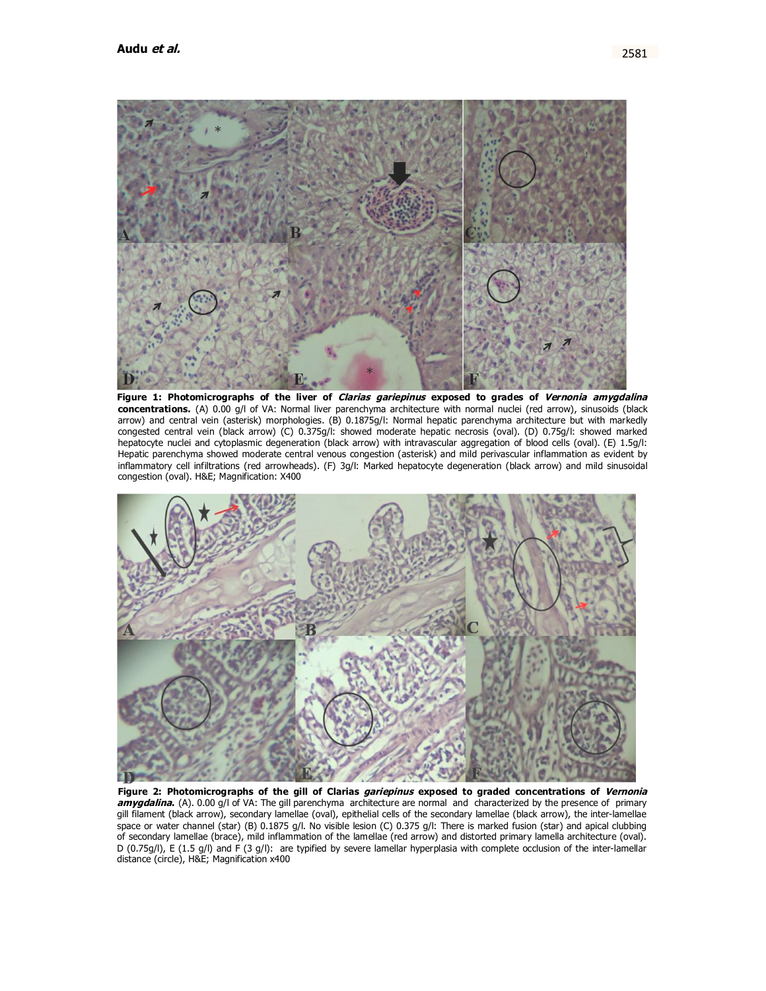

**Figure 1: Photomicrographs of the liver of Clarias gariepinus exposed to grades of Vernonia amygdalina concentrations.** (A) 0.00 g/l of VA: Normal liver parenchyma architecture with normal nuclei (red arrow), sinusoids (black arrow) and central vein (asterisk) morphologies. (B) 0.1875g/l: Normal hepatic parenchyma architecture but with markedly congested central vein (black arrow) (C) 0.375g/l: showed moderate hepatic necrosis (oval). (D) 0.75g/l: showed marked hepatocyte nuclei and cytoplasmic degeneration (black arrow) with intravascular aggregation of blood cells (oval). (E) 1.5g/l: Hepatic parenchyma showed moderate central venous congestion (asterisk) and mild perivascular inflammation as evident by inflammatory cell infiltrations (red arrowheads). (F) 3g/l: Marked hepatocyte degeneration (black arrow) and mild sinusoidal congestion (oval). H&E; Magnification: X400



**Figure 2: Photomicrographs of the gill of Clarias gariepinus exposed to graded concentrations of Vernonia amygdalina.** (A). 0.00 g/l of VA: The gill parenchyma architecture are normal and characterized by the presence of primary gill filament (black arrow), secondary lamellae (oval), epithelial cells of the secondary lamellae (black arrow), the inter-lamellae space or water channel (star) (B) 0.1875 g/l. No visible lesion (C) 0.375 g/l: There is marked fusion (star) and apical clubbing of secondary lamellae (brace), mild inflammation of the lamellae (red arrow) and distorted primary lamella architecture (oval). D (0.75g/l), E (1.5 g/l) and F (3 g/l): are typified by severe lamellar hyperplasia with complete occlusion of the inter-lamellar distance (circle), H&E; Magnification x400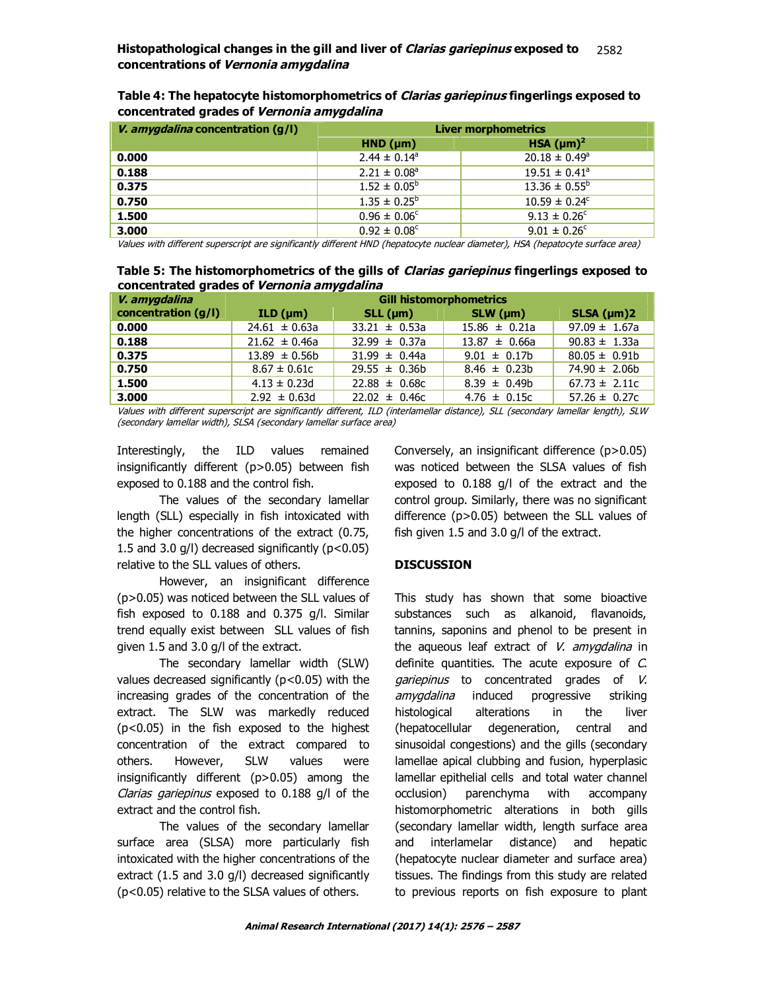| <i>V. amygdalina</i> concentration (g/l) | <b>Liver morphometrics</b>   |                          |  |  |  |  |
|------------------------------------------|------------------------------|--------------------------|--|--|--|--|
|                                          | $HND$ ( $µm$ )               | HSA $(\mu m)^2$          |  |  |  |  |
| 0.000                                    | $2.44 \pm 0.14^a$            | $20.18 \pm 0.49^{\circ}$ |  |  |  |  |
| 0.188                                    | $2.21 \pm 0.08$ <sup>a</sup> | $19.51 \pm 0.41^a$       |  |  |  |  |
| 0.375                                    | $1.52 \pm 0.05^{\circ}$      | $13.36 \pm 0.55^{\circ}$ |  |  |  |  |
| 0.750                                    | $1.35 \pm 0.25^b$            | $10.59 \pm 0.24^{\circ}$ |  |  |  |  |
| 1.500                                    | $0.96 \pm 0.06^{\circ}$      | $9.13 \pm 0.26^{\circ}$  |  |  |  |  |
| 3.000                                    | $0.92 \pm 0.08^{\circ}$      | $9.01 \pm 0.26^{\circ}$  |  |  |  |  |

**Table 4: The hepatocyte histomorphometrics of Clarias gariepinus fingerlings exposed to concentrated grades of Vernonia amygdalina**

Values with different superscript are significantly different HND (hepatocyte nuclear diameter), HSA (hepatocyte surface area)

**Table 5: The histomorphometrics of the gills of Clarias gariepinus fingerlings exposed to concentrated grades of Vernonia amygdalina**

| V. amygdalina       | <b>Gill histomorphometrics</b> |                   |                   |                   |  |  |  |
|---------------------|--------------------------------|-------------------|-------------------|-------------------|--|--|--|
| concentration (g/l) | ILD (µm)                       | $SLL$ (µm)        | $SLW$ (µm)        | $SLSA$ ( $µm$ )2  |  |  |  |
| 0.000               | $24.61 \pm 0.63a$              | $33.21 \pm 0.53a$ | $15.86 \pm 0.21a$ | $97.09 \pm 1.67a$ |  |  |  |
| 0.188               | $21.62 \pm 0.46a$              | $32.99 \pm 0.37a$ | $13.87 \pm 0.66a$ | $90.83 \pm 1.33a$ |  |  |  |
| 0.375               | $13.89 \pm 0.56b$              | $31.99 \pm 0.44a$ | $9.01 \pm 0.17$ b | $80.05 \pm 0.91b$ |  |  |  |
| 0.750               | $8.67 \pm 0.61c$               | $29.55 \pm 0.36b$ | $8.46 \pm 0.23b$  | $74.90 \pm 2.06b$ |  |  |  |
| 1.500               | $4.13 \pm 0.23$ d              | $22.88 \pm 0.68c$ | $8.39 \pm 0.49b$  | $67.73 \pm 2.11c$ |  |  |  |
| 3.000               | $2.92 \pm 0.63$ d              | $22.02 \pm 0.46c$ | $4.76 \pm 0.15c$  | $57.26 \pm 0.27c$ |  |  |  |

Values with different superscript are significantly different, ILD (interlamellar distance), SLL (secondary lamellar length), SLW (secondary lamellar width), SLSA (secondary lamellar surface area)

Interestingly, the ILD values remained insignificantly different (p>0.05) between fish exposed to 0.188 and the control fish.

The values of the secondary lamellar length (SLL) especially in fish intoxicated with the higher concentrations of the extract (0.75, 1.5 and 3.0  $g/l$ ) decreased significantly ( $p < 0.05$ ) relative to the SLL values of others.

However, an insignificant difference (p>0.05) was noticed between the SLL values of fish exposed to 0.188 and 0.375 g/l. Similar trend equally exist between SLL values of fish given 1.5 and 3.0 g/l of the extract.

The secondary lamellar width (SLW) values decreased significantly  $(p<0.05)$  with the increasing grades of the concentration of the extract. The SLW was markedly reduced (p<0.05) in the fish exposed to the highest concentration of the extract compared to others. However, SLW values were insignificantly different (p>0.05) among the Clarias gariepinus exposed to 0.188 g/l of the extract and the control fish.

The values of the secondary lamellar surface area (SLSA) more particularly fish intoxicated with the higher concentrations of the extract (1.5 and 3.0 g/l) decreased significantly (p<0.05) relative to the SLSA values of others.

Conversely, an insignificant difference (p>0.05) was noticed between the SLSA values of fish exposed to 0.188 g/l of the extract and the control group. Similarly, there was no significant difference (p>0.05) between the SLL values of fish given 1.5 and 3.0 g/l of the extract.

# **DISCUSSION**

This study has shown that some bioactive substances such as alkanoid, flavanoids, tannins, saponins and phenol to be present in the aqueous leaf extract of  $V$ . amygdalina in definite quantities. The acute exposure of C. gariepinus to concentrated grades of V. amygdalina induced progressive striking histological alterations in the liver (hepatocellular degeneration, central and sinusoidal congestions) and the gills (secondary lamellae apical clubbing and fusion, hyperplasic lamellar epithelial cells and total water channel occlusion) parenchyma with accompany histomorphometric alterations in both gills (secondary lamellar width, length surface area and interlamelar distance) and hepatic (hepatocyte nuclear diameter and surface area) tissues. The findings from this study are related to previous reports on fish exposure to plant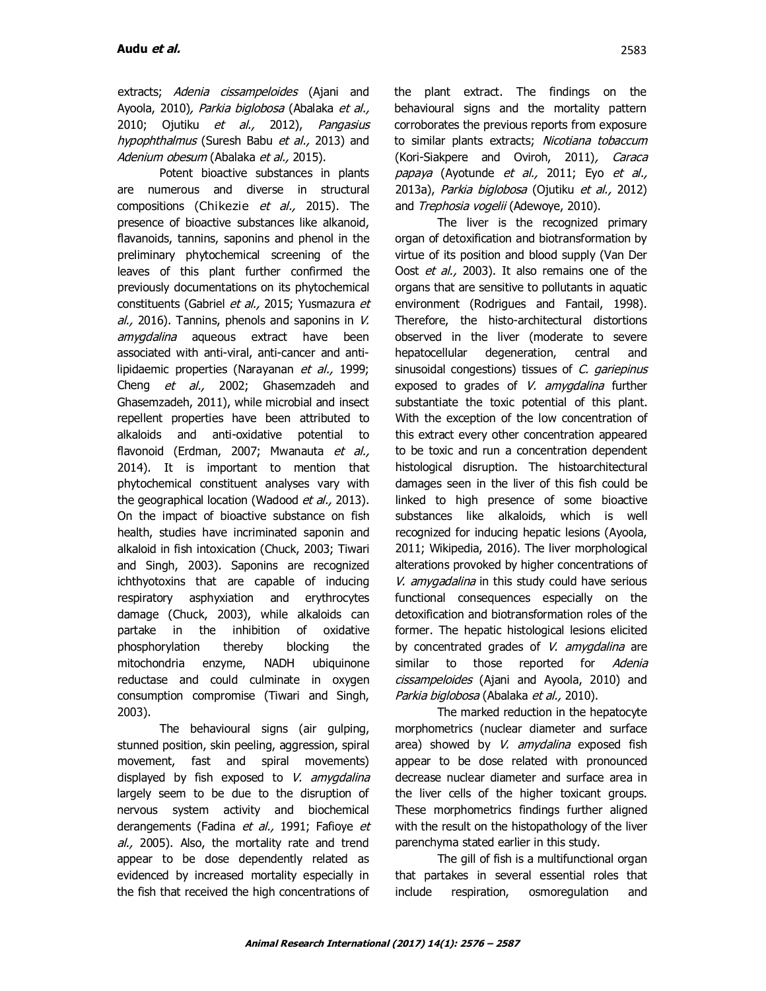extracts; Adenia cissampeloides (Ajani and Ayoola, 2010), Parkia biglobosa (Abalaka et al., 2010; Ojutiku et al., 2012), Pangasius hypophthalmus (Suresh Babu et al., 2013) and Adenium obesum (Abalaka et al., 2015).

Potent bioactive substances in plants are numerous and diverse in structural compositions (Chikezie et al., 2015). The presence of bioactive substances like alkanoid, flavanoids, tannins, saponins and phenol in the preliminary phytochemical screening of the leaves of this plant further confirmed the previously documentations on its phytochemical constituents (Gabriel et al., 2015; Yusmazura et  $al., 2016$ ). Tannins, phenols and saponins in V. amygdalina aqueous extract have been associated with anti-viral, anti-cancer and antilipidaemic properties (Narayanan et al., 1999; Cheng et al., 2002; Ghasemzadeh and Ghasemzadeh, 2011), while microbial and insect repellent properties have been attributed to alkaloids and anti-oxidative potential to flavonoid (Erdman, 2007; Mwanauta et al., 2014). It is important to mention that phytochemical constituent analyses vary with the geographical location (Wadood et al., 2013). On the impact of bioactive substance on fish health, studies have incriminated saponin and alkaloid in fish intoxication (Chuck, 2003; Tiwari and Singh, 2003). Saponins are recognized ichthyotoxins that are capable of inducing respiratory asphyxiation and erythrocytes damage (Chuck, 2003), while alkaloids can partake in the inhibition of oxidative phosphorylation thereby blocking the mitochondria enzyme, NADH ubiquinone reductase and could culminate in oxygen consumption compromise (Tiwari and Singh, 2003).

The behavioural signs (air gulping, stunned position, skin peeling, aggression, spiral movement, fast and spiral movements) displayed by fish exposed to  $V$ . amygdalina largely seem to be due to the disruption of nervous system activity and biochemical derangements (Fadina et al., 1991; Fafioye et al., 2005). Also, the mortality rate and trend appear to be dose dependently related as evidenced by increased mortality especially in the fish that received the high concentrations of

the plant extract. The findings on the behavioural signs and the mortality pattern corroborates the previous reports from exposure to similar plants extracts; Nicotiana tobaccum (Kori-Siakpere and Oviroh, 2011), Caraca papaya (Ayotunde et al., 2011; Eyo et al., 2013a), Parkia biglobosa (Ojutiku et al., 2012) and Trephosia vogelii (Adewoye, 2010).

The liver is the recognized primary organ of detoxification and biotransformation by virtue of its position and blood supply (Van Der Oost et al., 2003). It also remains one of the organs that are sensitive to pollutants in aquatic environment (Rodrigues and Fantail, 1998). Therefore, the histo-architectural distortions observed in the liver (moderate to severe hepatocellular degeneration, central and sinusoidal congestions) tissues of C. gariepinus exposed to grades of V. amygdalina further substantiate the toxic potential of this plant. With the exception of the low concentration of this extract every other concentration appeared to be toxic and run a concentration dependent histological disruption. The histoarchitectural damages seen in the liver of this fish could be linked to high presence of some bioactive substances like alkaloids, which is well recognized for inducing hepatic lesions (Ayoola, 2011; Wikipedia, 2016). The liver morphological alterations provoked by higher concentrations of V. amygadalina in this study could have serious functional consequences especially on the detoxification and biotransformation roles of the former. The hepatic histological lesions elicited by concentrated grades of  $V$ . amygdalina are similar to those reported for Adenia cissampeloides (Ajani and Ayoola, 2010) and Parkia biglobosa (Abalaka et al., 2010).

The marked reduction in the hepatocyte morphometrics (nuclear diameter and surface area) showed by V. amydalina exposed fish appear to be dose related with pronounced decrease nuclear diameter and surface area in the liver cells of the higher toxicant groups. These morphometrics findings further aligned with the result on the histopathology of the liver parenchyma stated earlier in this study.

The gill of fish is a multifunctional organ that partakes in several essential roles that include respiration, osmoregulation and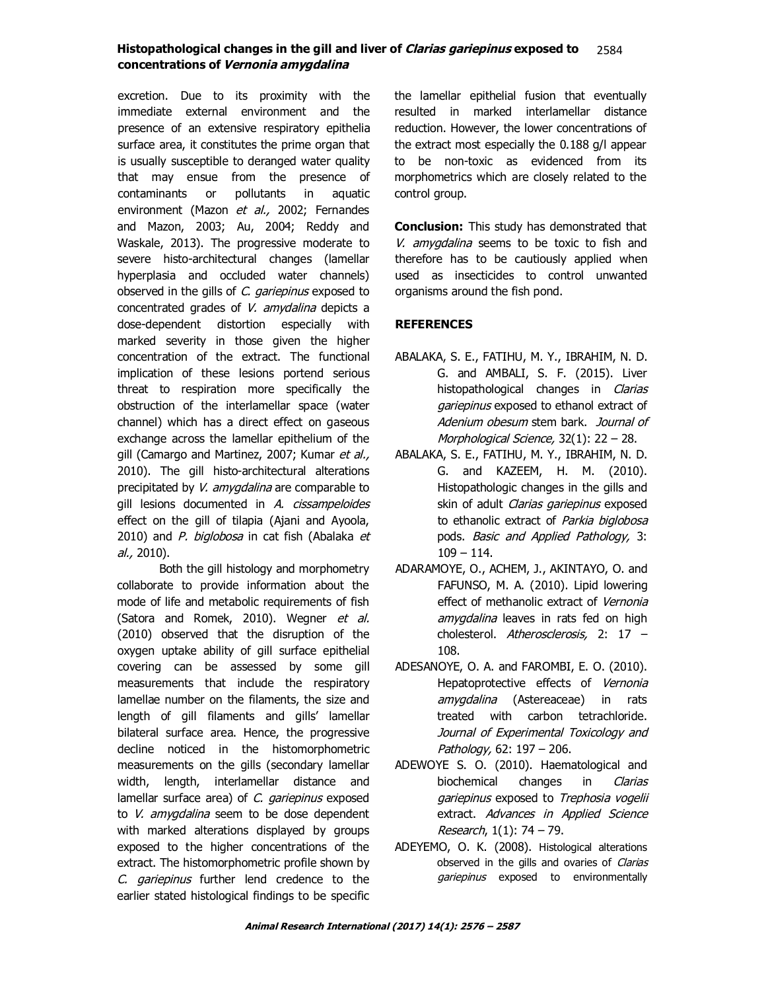excretion. Due to its proximity with the immediate external environment and the presence of an extensive respiratory epithelia surface area, it constitutes the prime organ that is usually susceptible to deranged water quality that may ensue from the presence of contaminants or pollutants in aquatic environment (Mazon et al., 2002; Fernandes and Mazon, 2003; Au, 2004; Reddy and Waskale, 2013). The progressive moderate to severe histo-architectural changes (lamellar hyperplasia and occluded water channels) observed in the gills of C. gariepinus exposed to concentrated grades of V. amydalina depicts a dose-dependent distortion especially with marked severity in those given the higher concentration of the extract. The functional implication of these lesions portend serious threat to respiration more specifically the obstruction of the interlamellar space (water channel) which has a direct effect on gaseous exchange across the lamellar epithelium of the gill (Camargo and Martinez, 2007; Kumar et al., 2010). The gill histo-architectural alterations precipitated by V. amygdalina are comparable to gill lesions documented in A. cissampeloides effect on the gill of tilapia (Ajani and Ayoola, 2010) and P. biglobosa in cat fish (Abalaka et al., 2010).

Both the gill histology and morphometry collaborate to provide information about the mode of life and metabolic requirements of fish (Satora and Romek, 2010). Wegner et al. (2010) observed that the disruption of the oxygen uptake ability of gill surface epithelial covering can be assessed by some gill measurements that include the respiratory lamellae number on the filaments, the size and length of gill filaments and gills' lamellar bilateral surface area. Hence, the progressive decline noticed in the histomorphometric measurements on the gills (secondary lamellar width, length, interlamellar distance and lamellar surface area) of C. gariepinus exposed to V. amygdalina seem to be dose dependent with marked alterations displayed by groups exposed to the higher concentrations of the extract. The histomorphometric profile shown by C. gariepinus further lend credence to the earlier stated histological findings to be specific

the lamellar epithelial fusion that eventually resulted in marked interlamellar distance reduction. However, the lower concentrations of the extract most especially the 0.188 g/l appear to be non-toxic as evidenced from its morphometrics which are closely related to the control group.

**Conclusion:** This study has demonstrated that V. amygdalina seems to be toxic to fish and therefore has to be cautiously applied when used as insecticides to control unwanted organisms around the fish pond.

# **REFERENCES**

- ABALAKA, S. E., FATIHU, M. Y., IBRAHIM, N. D. G. and AMBALI, S. F. (2015). Liver histopathological changes in *Clarias* gariepinus exposed to ethanol extract of Adenium obesum stem bark. Journal of Morphological Science, 32(1): 22 – 28.
- ABALAKA, S. E., FATIHU, M. Y., IBRAHIM, N. D. G. and KAZEEM, H. M. (2010). Histopathologic changes in the gills and skin of adult Clarias gariepinus exposed to ethanolic extract of Parkia biglobosa pods. Basic and Applied Pathology, 3: 109 – 114.
- ADARAMOYE, O., ACHEM, J., AKINTAYO, O. and FAFUNSO, M. A. (2010). Lipid lowering effect of methanolic extract of Vernonia amygdalina leaves in rats fed on high cholesterol. Atherosclerosis, 2: 17 – 108.
- ADESANOYE, O. A. and FAROMBI, E. O. (2010). Hepatoprotective effects of Vernonia amygdalina (Astereaceae) in rats treated with carbon tetrachloride. Journal of Experimental Toxicology and Pathology, 62: 197 – 206.
- ADEWOYE S. O. (2010). Haematological and biochemical changes in Clarias gariepinus exposed to Trephosia vogelii extract. Advances in Applied Science Research,  $1(1)$ : 74 – 79.
- ADEYEMO, O. K. (2008). Histological alterations observed in the gills and ovaries of Clarias gariepinus exposed to environmentally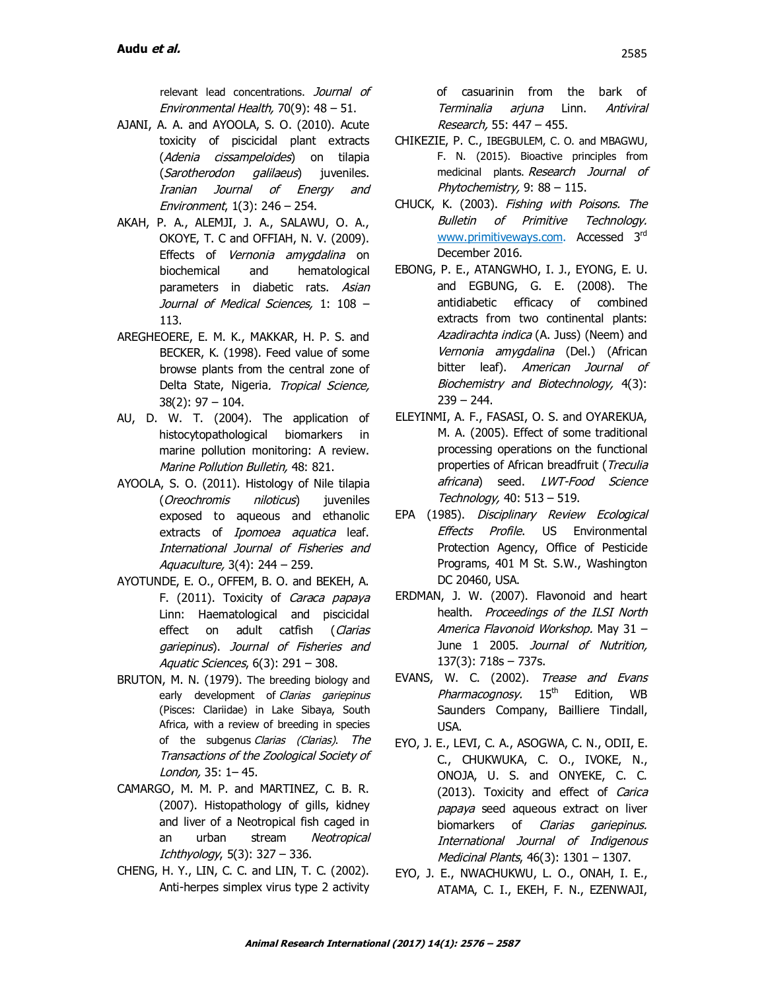relevant lead concentrations. Journal of Environmental Health, 70(9): 48 – 51.

- AJANI, A. A. and AYOOLA, S. O. (2010). Acute toxicity of piscicidal plant extracts (Adenia cissampeloides) on tilapia (Sarotherodon galilaeus) juveniles. Iranian Journal of Energy and Environment, 1(3): 246 – 254.
- AKAH, P. A., ALEMJI, J. A., SALAWU, O. A., OKOYE, T. C and OFFIAH, N. V. (2009). Effects of Vernonia amygdalina on biochemical and hematological parameters in diabetic rats. Asian Journal of Medical Sciences, 1: 108 – 113.
- AREGHEOERE, E. M. K., MAKKAR, H. P. S. and BECKER, K. (1998). Feed value of some browse plants from the central zone of Delta State, Nigeria. Tropical Science, 38(2): 97 – 104.
- AU, D. W. T. (2004). The application of histocytopathological biomarkers in marine pollution monitoring: A review. Marine Pollution Bulletin, 48: 821.
- AYOOLA, S. O. (2011). Histology of Nile tilapia (Oreochromis niloticus) juveniles exposed to aqueous and ethanolic extracts of *Ipomoea aquatica* leaf. International Journal of Fisheries and Aquaculture, 3(4): 244 – 259.
- AYOTUNDE, E. O., OFFEM, B. O. and BEKEH, A. F. (2011). Toxicity of Caraca papaya Linn: Haematological and piscicidal effect on adult catfish (Clarias gariepinus). Journal of Fisheries and Aquatic Sciences, 6(3): 291 – 308.
- BRUTON, M. N. (1979). The breeding biology and early development of Clarias gariepinus (Pisces: Clariidae) in Lake Sibaya, South Africa, with a review of breeding in species of the subgenus Clarias (Clarias). The Transactions of the Zoological Society of London, 35: 1– 45.
- CAMARGO, M. M. P. and MARTINEZ, C. B. R. (2007). Histopathology of gills, kidney and liver of a Neotropical fish caged in an urban stream Neotropical  $Ichthyology, 5(3): 327 - 336.$
- CHENG, H. Y., LIN, C. C. and LIN, T. C. (2002). Anti-herpes simplex virus type 2 activity

of casuarinin from the bark of Terminalia arjuna Linn. Antiviral Research, 55: 447 – 455.

- CHIKEZIE, P. C., IBEGBULEM, C. O. and MBAGWU, F. N. (2015). Bioactive principles from medicinal plants. Research Journal of Phytochemistry, 9: 88 – 115.
- CHUCK, K. (2003). Fishing with Poisons. The Bulletin of Primitive Technology. www.primitiveways.com. Accessed 3<sup>rd</sup> December 2016.
- EBONG, P. E., ATANGWHO, I. J., EYONG, E. U. and EGBUNG, G. E. (2008). The antidiabetic efficacy of combined extracts from two continental plants: Azadirachta indica (A. Juss) (Neem) and Vernonia amygdalina (Del.) (African bitter leaf). American Journal of Biochemistry and Biotechnology, 4(3):  $239 - 244.$
- ELEYINMI, A. F., FASASI, O. S. and OYAREKUA, M. A. (2005). Effect of some traditional processing operations on the functional properties of African breadfruit (Treculia africana) seed. LWT-Food Science Technology, 40: 513 – 519.
- EPA (1985). Disciplinary Review Ecological Effects Profile. US Environmental Protection Agency, Office of Pesticide Programs, 401 M St. S.W., Washington DC 20460, USA.
- ERDMAN, J. W. (2007). Flavonoid and heart health. Proceedings of the ILSI North America Flavonoid Workshop. May 31 – June 1 2005. Journal of Nutrition, 137(3): 718s – 737s.
- EVANS, W. C. (2002). Trease and Evans Pharmacognosy. 15<sup>th</sup> Edition, WB Saunders Company, Bailliere Tindall, USA.
- EYO, J. E., LEVI, C. A., ASOGWA, C. N., ODII, E. C., CHUKWUKA, C. O., IVOKE, N., ONOJA, U. S. and ONYEKE, C. C. (2013). Toxicity and effect of Carica papaya seed aqueous extract on liver biomarkers of Clarias gariepinus. International Journal of Indigenous Medicinal Plants, 46(3): 1301 – 1307.
- EYO, J. E., NWACHUKWU, L. O., ONAH, I. E., ATAMA, C. I., EKEH, F. N., EZENWAJI,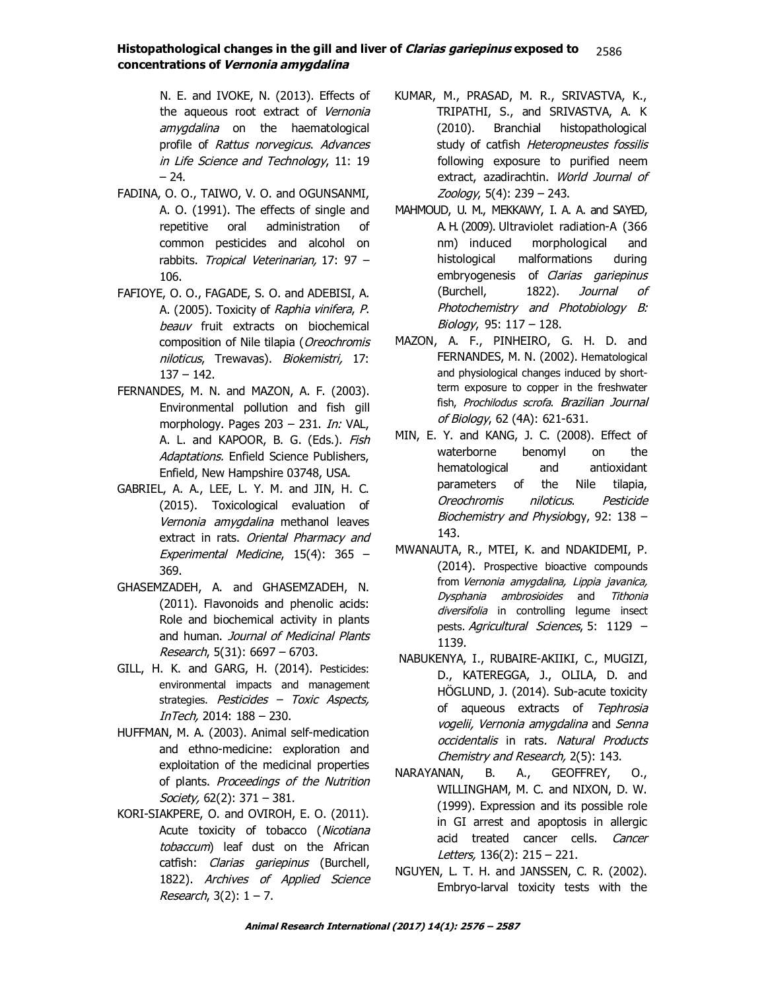N. E. and IVOKE, N. (2013). Effects of the aqueous root extract of Vernonia amygdalina on the haematological profile of Rattus norvegicus. Advances in Life Science and Technology, 11: 19  $-24.$ 

- FADINA, O. O., TAIWO, V. O. and OGUNSANMI, A. O. (1991). The effects of single and repetitive oral administration of common pesticides and alcohol on rabbits. Tropical Veterinarian, 17: 97 – 106.
- FAFIOYE, O. O., FAGADE, S. O. and ADEBISI, A. A. (2005). Toxicity of Raphia vinifera, P. beauv fruit extracts on biochemical composition of Nile tilapia (Oreochromis niloticus, Trewavas). Biokemistri, 17: 137 – 142.
- FERNANDES, M. N. and MAZON, A. F. (2003). Environmental pollution and fish gill morphology. Pages 203 - 231. *In:* VAL, A. L. and KAPOOR, B. G. (Eds.). Fish Adaptations, Enfield Science Publishers, Enfield, New Hampshire 03748, USA.
- GABRIEL, A. A., LEE, L. Y. M. and JIN, H. C. (2015). Toxicological evaluation of Vernonia amygdalina methanol leaves extract in rats. Oriental Pharmacy and Experimental Medicine, 15(4): 365 – 369.
- GHASEMZADEH, A. and GHASEMZADEH, N. (2011). Flavonoids and phenolic acids: Role and biochemical activity in plants and human. Journal of Medicinal Plants Research, 5(31): 6697 – 6703.
- GILL, H. K. and GARG, H. (2014). Pesticides: environmental impacts and management strategies. Pesticides - Toxic Aspects, InTech, 2014: 188 – 230.
- HUFFMAN, M. A. (2003). Animal self-medication and ethno-medicine: exploration and exploitation of the medicinal properties of plants. Proceedings of the Nutrition Society, 62(2): 371 - 381.
- KORI-SIAKPERE, O. and OVIROH, E. O. (2011). Acute toxicity of tobacco (Nicotiana tobaccum) leaf dust on the African catfish: *Clarias gariepinus* (Burchell, 1822). Archives of Applied Science Research,  $3(2)$ :  $1 - 7$ .
- KUMAR, M., PRASAD, M. R., SRIVASTVA, K., TRIPATHI, S., and SRIVASTVA, A. K (2010). Branchial histopathological study of catfish Heteropneustes fossilis following exposure to purified neem extract, azadirachtin. World Journal of Zoology, 5(4): 239 – 243.
- MAHMOUD, U. M., MEKKAWY, I. A. A. and SAYED, A. H. (2009). Ultraviolet radiation-A (366 nm) induced morphological and histological malformations during embryogenesis of Clarias gariepinus (Burchell, 1822). Journal of Photochemistry and Photobiology B: Biology, 95: 117 – 128.
- MAZON, A. F., PINHEIRO, G. H. D. and FERNANDES, M. N. (2002). Hematological and physiological changes induced by shortterm exposure to copper in the freshwater fish, Prochilodus scrofa. Brazilian Journal of Biology, 62 (4A): 621-631.
- MIN, E. Y. and KANG, J. C. (2008). Effect of waterborne benomyl on the hematological and antioxidant parameters of the Nile tilapia, Oreochromis niloticus. Pesticide Biochemistry and Physiology, 92: 138 -143.
- MWANAUTA, R., MTEI, K. and NDAKIDEMI, P. (2014). Prospective bioactive compounds from Vernonia amygdalina, Lippia javanica, Dysphania ambrosioides and Tithonia diversifolia in controlling legume insect pests. Agricultural Sciences, 5: 1129 -1139.
- NABUKENYA, I., RUBAIRE-AKIIKI, C., MUGIZI, D., KATEREGGA, J., OLILA, D. and HÖGLUND, J. (2014). Sub-acute toxicity of aqueous extracts of Tephrosia vogelii, Vernonia amygdalina and Senna occidentalis in rats. Natural Products Chemistry and Research, 2(5): 143.
- NARAYANAN, B. A., GEOFFREY, O., WILLINGHAM, M. C. and NIXON, D. W. (1999). Expression and its possible role in GI arrest and apoptosis in allergic acid treated cancer cells. Cancer Letters, 136(2): 215 – 221.
- NGUYEN, L. T. H. and JANSSEN, C. R. (2002). Embryo-larval toxicity tests with the